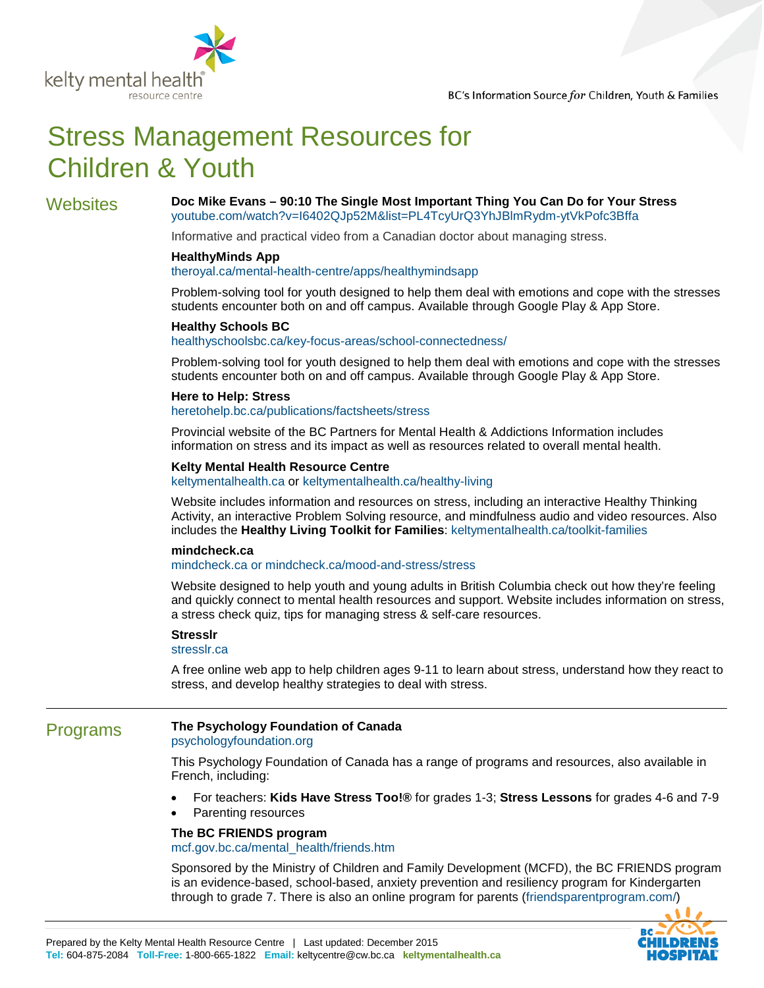

# Stress Management Resources for Children & Youth

Websites **Doc Mike Evans – 90:10 The Single Most Important Thing You Can Do for Your Stress** [youtube.com/watch?v=I6402QJp52M&list=PL4TcyUrQ3YhJBlmRydm-ytVkPofc3Bffa](https://www.youtube.com/watch?v=I6402QJp52M&list=PL4TcyUrQ3YhJBlmRydm-ytVkPofc3Bffa)

Informative and practical video from a Canadian doctor about managing stress.

### **HealthyMinds App**

#### [theroyal.ca/mental-health-centre/apps/healthymindsapp](http://www.theroyal.ca/mental-health-centre/apps/healthymindsapp/)

Problem-solving tool for youth designed to help them deal with emotions and cope with the stresses students encounter both on and off campus. Available through Google Play & App Store.

#### **Healthy Schools BC**

#### [healthyschoolsbc.ca/key-focus-areas/school-connectedness/](http://healthyschoolsbc.ca/key-focus-areas/school-connectedness/)

Problem-solving tool for youth designed to help them deal with emotions and cope with the stresses students encounter both on and off campus. Available through Google Play & App Store.

#### **Here to Help: Stress**

[heretohelp.bc.ca/publications/factsheets/stress](http://www.heretohelp.bc.ca/publications/factsheets/stress)

Provincial website of the BC Partners for Mental Health & Addictions Information includes information on stress and its impact as well as resources related to overall mental health.

#### **Kelty Mental Health Resource Centre**

[keltymentalhealth.ca](http://www.keltymentalhealth.ca/) or [keltymentalhealth.ca/healthy-living](http://keltymentalhealth.ca/healthy-living)

Website includes information and resources on stress, including an interactive Healthy Thinking Activity, an interactive Problem Solving resource, and mindfulness audio and video resources. Also includes the **Healthy Living Toolkit for Families**: [keltymentalhealth.ca/toolkit-families](http://keltymentalhealth.ca/toolkit-families) 

#### **mindcheck.ca**

[mindcheck.ca](http://www.mindcheck.ca/) or [mindcheck.ca/mood-and-stress/stress](http://www.mindcheck.ca/mood-and-stress/stress)

Website designed to help youth and young adults in British Columbia check out how they're feeling and quickly connect to mental health resources and support. Website includes information on stress, a stress check quiz, tips for managing stress & self-care resources.

#### **Stresslr**

#### [stresslr.ca](http://stresslr.ca/%23/)

A free online web app to help children ages 9-11 to learn about stress, understand how they react to stress, and develop healthy strategies to deal with stress.

### Programs **The Psychology Foundation of Canada**

[psychologyfoundation.org](http://www.psychologyfoundation.org/)

This Psychology Foundation of Canada has a range of programs and resources, also available in French, including:

- For teachers: **Kids Have Stress Too!®** for grades 1-3; **Stress Lessons** for grades 4-6 and 7-9
- Parenting resources

#### **The BC FRIENDS program**

[mcf.gov.bc.ca/mental\\_health/friends.htm](http://www.mcf.gov.bc.ca/mental_health/friends.htm)

Sponsored by the Ministry of Children and Family Development (MCFD), the BC FRIENDS program is an evidence-based, school-based, anxiety prevention and resiliency program for Kindergarten through to grade 7. There is also an online program for parents [\(friendsparentprogram.com/\)](http://www.friendsparentprogram.com/)